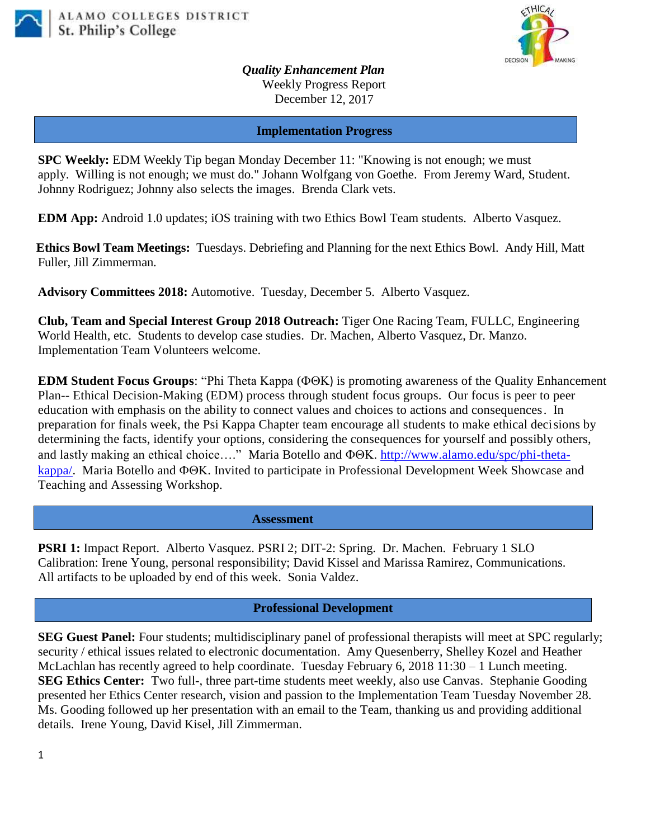



*Quality Enhancement Plan* Weekly Progress Report December 12, 2017

**Implementation Progress**

**SPC Weekly:** EDM Weekly Tip began Monday December 11: "Knowing is not enough; we must apply. Willing is not enough; we must do." Johann Wolfgang von Goethe. From Jeremy Ward, Student. Johnny Rodriguez; Johnny also selects the images. Brenda Clark vets.

**EDM App:** Android 1.0 updates; iOS training with two Ethics Bowl Team students. Alberto Vasquez.

**Ethics Bowl Team Meetings:** Tuesdays. Debriefing and Planning for the next Ethics Bowl.Andy Hill, Matt Fuller, Jill Zimmerman.

**Advisory Committees 2018:** Automotive. Tuesday, December 5. Alberto Vasquez.

**Club, Team and Special Interest Group 2018 Outreach:** Tiger One Racing Team, FULLC, Engineering World Health, etc. Students to develop case studies. Dr. Machen, Alberto Vasquez, Dr. Manzo. Implementation Team Volunteers welcome.

**EDM Student Focus Groups:** "Phi Theta Kappa ( $\Phi \Theta K$ ) is promoting awareness of the Quality Enhancement Plan-- Ethical Decision-Making (EDM) process through student focus groups. Our focus is peer to peer education with emphasis on the ability to connect values and choices to actions and consequences. In preparation for finals week, the Psi Kappa Chapter team encourage all students to make ethical decisions by determining the facts, identify your options, considering the consequences for yourself and possibly others, and lastly making an ethical choice…." Maria Botello and  $\Phi \Theta K$ . [http://www.alamo.edu/spc/phi-theta](http://www.alamo.edu/spc/phi-theta-kappa/)[kappa/.](http://www.alamo.edu/spc/phi-theta-kappa/) Maria Botello and  $\Phi \Theta K$ . Invited to participate in Professional Development Week Showcase and Teaching and Assessing Workshop.

 **Assessment**

**PSRI 1:** Impact Report. Alberto Vasquez. PSRI 2; DIT-2: Spring. Dr. Machen. February 1 SLO Calibration: Irene Young, personal responsibility; David Kissel and Marissa Ramirez, Communications. All artifacts to be uploaded by end of this week. Sonia Valdez.

## **Professional Development**

**SEG Guest Panel:** Four students; multidisciplinary panel of professional therapists will meet at SPC regularly; security / ethical issues related to electronic documentation. Amy Quesenberry, Shelley Kozel and Heather McLachlan has recently agreed to help coordinate. Tuesday February 6, 2018 11:30 – 1 Lunch meeting. **SEG Ethics Center:** Two full-, three part-time students meet weekly, also use Canvas. Stephanie Gooding presented her Ethics Center research, vision and passion to the Implementation Team Tuesday November 28. Ms. Gooding followed up her presentation with an email to the Team, thanking us and providing additional details. Irene Young, David Kisel, Jill Zimmerman.